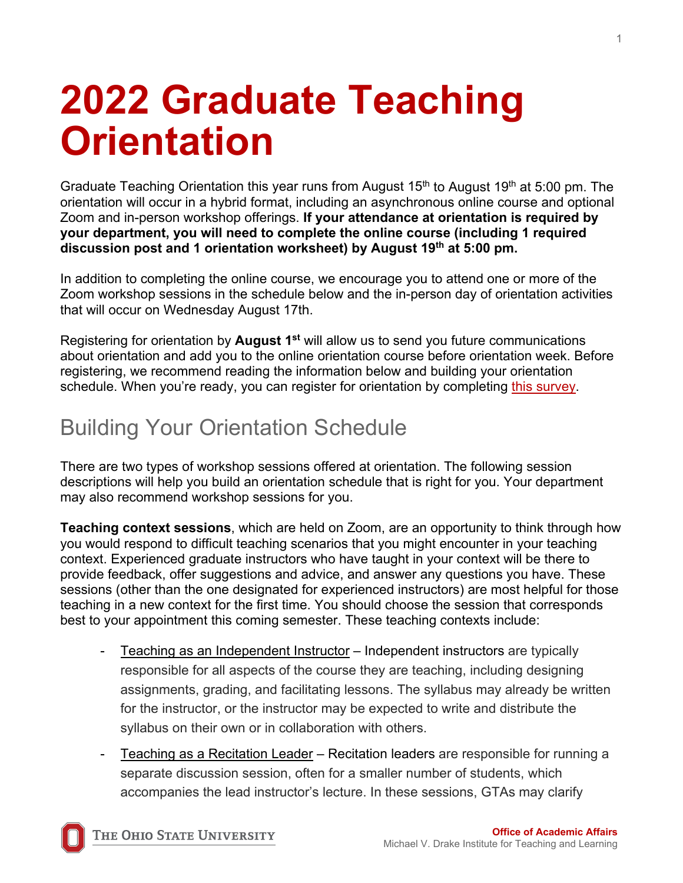# **2022 Graduate Teaching Orientation**

Graduate Teaching Orientation this year runs from August  $15<sup>th</sup>$  to August  $19<sup>th</sup>$  at 5:00 pm. The orientation will occur in a hybrid format, including an asynchronous online course and optional Zoom and in-person workshop offerings. **If your attendance at orientation is required by your department, you will need to complete the online course (including 1 required discussion post and 1 orientation worksheet) by August 19th at 5:00 pm.**

In addition to completing the online course, we encourage you to attend one or more of the Zoom workshop sessions in the schedule below and the in-person day of orientation activities that will occur on Wednesday August 17th.

Registering for orientation by **August 1st** will allow us to send you future communications about orientation and add you to the online orientation course before orientation week. Before registering, we recommend reading the information below and building your orientation schedule. When you're ready, you can register for orientation by completing [this survey.](https://osu.az1.qualtrics.com/jfe/form/SV_ekA47ONTLsvyCEu)

## Building Your Orientation Schedule

There are two types of workshop sessions offered at orientation. The following session descriptions will help you build an orientation schedule that is right for you. Your department may also recommend workshop sessions for you.

**Teaching context sessions**, which are held on Zoom, are an opportunity to think through how you would respond to difficult teaching scenarios that you might encounter in your teaching context. Experienced graduate instructors who have taught in your context will be there to provide feedback, offer suggestions and advice, and answer any questions you have. These sessions (other than the one designated for experienced instructors) are most helpful for those teaching in a new context for the first time. You should choose the session that corresponds best to your appointment this coming semester. These teaching contexts include:

- Teaching as an Independent Instructor Independent instructors are typically responsible for all aspects of the course they are teaching, including designing assignments, grading, and facilitating lessons. The syllabus may already be written for the instructor, or the instructor may be expected to write and distribute the syllabus on their own or in collaboration with others.
- Teaching as a Recitation Leader Recitation leaders are responsible for running a separate discussion session, often for a smaller number of students, which accompanies the lead instructor's lecture. In these sessions, GTAs may clarify

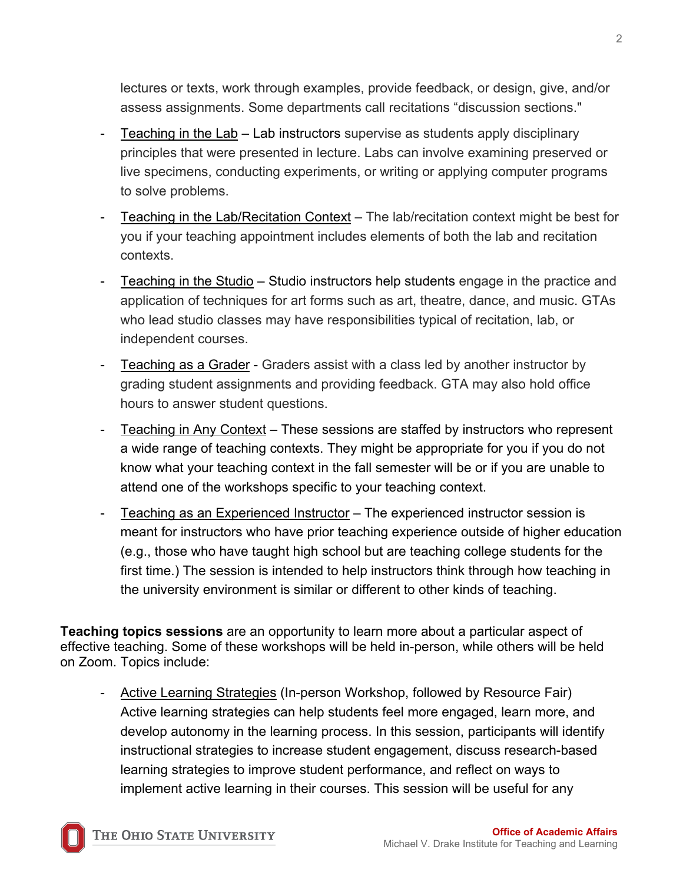lectures or texts, work through examples, provide feedback, or design, give, and/or assess assignments. Some departments call recitations "discussion sections."

- Teaching in the Lab Lab instructors supervise as students apply disciplinary principles that were presented in lecture. Labs can involve examining preserved or live specimens, conducting experiments, or writing or applying computer programs to solve problems.
- Teaching in the Lab/Recitation Context The lab/recitation context might be best for you if your teaching appointment includes elements of both the lab and recitation contexts.
- Teaching in the Studio Studio instructors help students engage in the practice and application of techniques for art forms such as art, theatre, dance, and music. GTAs who lead studio classes may have responsibilities typical of recitation, lab, or independent courses.
- Teaching as a Grader Graders assist with a class led by another instructor by grading student assignments and providing feedback. GTA may also hold office hours to answer student questions.
- Teaching in Any Context These sessions are staffed by instructors who represent a wide range of teaching contexts. They might be appropriate for you if you do not know what your teaching context in the fall semester will be or if you are unable to attend one of the workshops specific to your teaching context.
- Teaching as an Experienced Instructor The experienced instructor session is meant for instructors who have prior teaching experience outside of higher education (e.g., those who have taught high school but are teaching college students for the first time.) The session is intended to help instructors think through how teaching in the university environment is similar or different to other kinds of teaching.

**Teaching topics sessions** are an opportunity to learn more about a particular aspect of effective teaching. Some of these workshops will be held in-person, while others will be held on Zoom. Topics include:

Active Learning Strategies (In-person Workshop, followed by Resource Fair) Active learning strategies can help students feel more engaged, learn more, and develop autonomy in the learning process. In this session, participants will identify instructional strategies to increase student engagement, discuss research-based learning strategies to improve student performance, and reflect on ways to implement active learning in their courses. This session will be useful for any

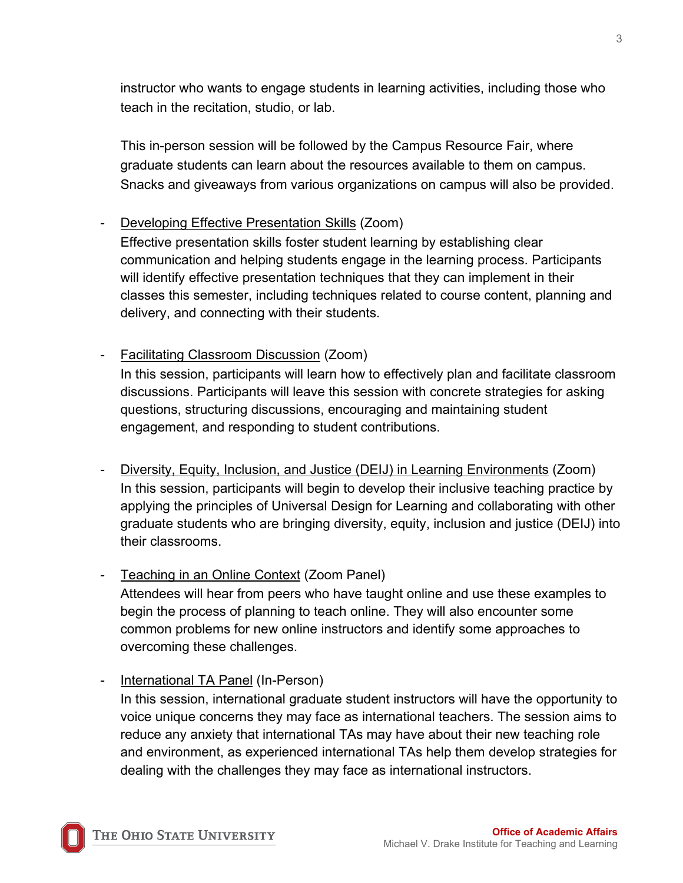instructor who wants to engage students in learning activities, including those who teach in the recitation, studio, or lab.

This in-person session will be followed by the Campus Resource Fair, where graduate students can learn about the resources available to them on campus. Snacks and giveaways from various organizations on campus will also be provided.

#### Developing Effective Presentation Skills (Zoom)

Effective presentation skills foster student learning by establishing clear communication and helping students engage in the learning process. Participants will identify effective presentation techniques that they can implement in their classes this semester, including techniques related to course content, planning and delivery, and connecting with their students.

#### - Facilitating Classroom Discussion (Zoom)

In this session, participants will learn how to effectively plan and facilitate classroom discussions. Participants will leave this session with concrete strategies for asking questions, structuring discussions, encouraging and maintaining student engagement, and responding to student contributions.

Diversity, Equity, Inclusion, and Justice (DEIJ) in Learning Environments (Zoom) In this session, participants will begin to develop their inclusive teaching practice by applying the principles of Universal Design for Learning and collaborating with other graduate students who are bringing diversity, equity, inclusion and justice (DEIJ) into their classrooms.

### Teaching in an Online Context (Zoom Panel)

Attendees will hear from peers who have taught online and use these examples to begin the process of planning to teach online. They will also encounter some common problems for new online instructors and identify some approaches to overcoming these challenges.

International TA Panel (In-Person)

In this session, international graduate student instructors will have the opportunity to voice unique concerns they may face as international teachers. The session aims to reduce any anxiety that international TAs may have about their new teaching role and environment, as experienced international TAs help them develop strategies for dealing with the challenges they may face as international instructors.

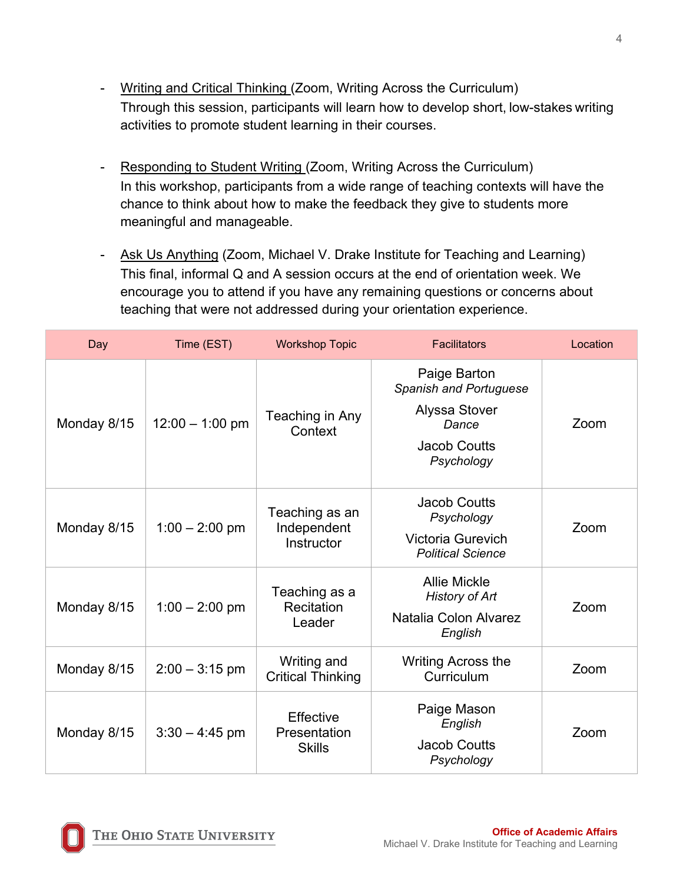- Writing and Critical Thinking (Zoom, Writing Across the Curriculum) Through this session, participants will learn how to develop short, low-stakes writing activities to promote student learning in their courses.
- Responding to Student Writing (Zoom, Writing Across the Curriculum) In this workshop, participants from a wide range of teaching contexts will have the chance to think about how to make the feedback they give to students more meaningful and manageable.
- Ask Us Anything (Zoom, Michael V. Drake Institute for Teaching and Learning) This final, informal Q and A session occurs at the end of orientation week. We encourage you to attend if you have any remaining questions or concerns about teaching that were not addressed during your orientation experience.

| Day         | Time (EST)        | <b>Workshop Topic</b>                       | <b>Facilitators</b>                                                                                          | Location |
|-------------|-------------------|---------------------------------------------|--------------------------------------------------------------------------------------------------------------|----------|
| Monday 8/15 | $12:00 - 1:00$ pm | Teaching in Any<br>Context                  | Paige Barton<br>Spanish and Portuguese<br><b>Alyssa Stover</b><br>Dance<br><b>Jacob Coutts</b><br>Psychology | Zoom     |
| Monday 8/15 | $1:00 - 2:00$ pm  | Teaching as an<br>Independent<br>Instructor | <b>Jacob Coutts</b><br>Psychology<br><b>Victoria Gurevich</b><br><b>Political Science</b>                    | Zoom     |
| Monday 8/15 | $1:00 - 2:00$ pm  | Teaching as a<br>Recitation<br>Leader       | <b>Allie Mickle</b><br><b>History of Art</b><br>Natalia Colon Alvarez<br>English                             | Zoom     |
| Monday 8/15 | $2:00 - 3:15$ pm  | Writing and<br><b>Critical Thinking</b>     | <b>Writing Across the</b><br>Curriculum                                                                      | Zoom     |
| Monday 8/15 | $3:30 - 4:45$ pm  | Effective<br>Presentation<br><b>Skills</b>  | Paige Mason<br>English<br><b>Jacob Coutts</b><br>Psychology                                                  | Zoom     |

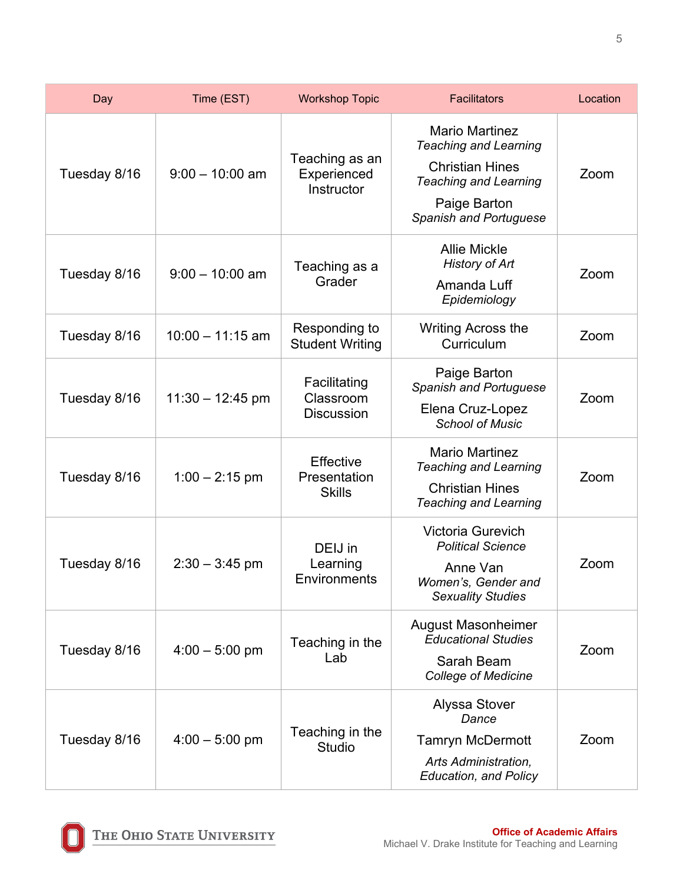| Day          | Time (EST)         | <b>Workshop Topic</b>                             | <b>Facilitators</b>                                                                                                                                       | Location |
|--------------|--------------------|---------------------------------------------------|-----------------------------------------------------------------------------------------------------------------------------------------------------------|----------|
| Tuesday 8/16 | $9:00 - 10:00$ am  | Teaching as an<br>Experienced<br>Instructor       | <b>Mario Martinez</b><br><b>Teaching and Learning</b><br><b>Christian Hines</b><br><b>Teaching and Learning</b><br>Paige Barton<br>Spanish and Portuguese | Zoom     |
| Tuesday 8/16 | $9:00 - 10:00$ am  | Teaching as a<br>Grader                           | <b>Allie Mickle</b><br><b>History of Art</b><br>Amanda Luff<br>Epidemiology                                                                               | Zoom     |
| Tuesday 8/16 | $10:00 - 11:15$ am | Responding to<br><b>Student Writing</b>           | <b>Writing Across the</b><br>Curriculum                                                                                                                   | Zoom     |
| Tuesday 8/16 | $11:30 - 12:45$ pm | Facilitating<br>Classroom<br><b>Discussion</b>    | Paige Barton<br>Spanish and Portuguese<br>Elena Cruz-Lopez<br><b>School of Music</b>                                                                      | Zoom     |
| Tuesday 8/16 | $1:00 - 2:15$ pm   | <b>Effective</b><br>Presentation<br><b>Skills</b> | <b>Mario Martinez</b><br><b>Teaching and Learning</b><br><b>Christian Hines</b><br><b>Teaching and Learning</b>                                           | Zoom     |
| Tuesday 8/16 | $2:30 - 3:45$ pm   | DEIJ in<br>Learning<br>Environments               | Victoria Gurevich<br><b>Political Science</b><br>Anne Van<br>Women's, Gender and<br><b>Sexuality Studies</b>                                              | Zoom     |
| Tuesday 8/16 | $4:00 - 5:00$ pm   | Teaching in the<br>Lab                            | <b>August Masonheimer</b><br><b>Educational Studies</b><br>Sarah Beam<br><b>College of Medicine</b>                                                       | Zoom     |
| Tuesday 8/16 | $4:00 - 5:00$ pm   | Teaching in the<br><b>Studio</b>                  | <b>Alyssa Stover</b><br>Dance<br><b>Tamryn McDermott</b><br>Arts Administration,<br><b>Education, and Policy</b>                                          | Zoom     |

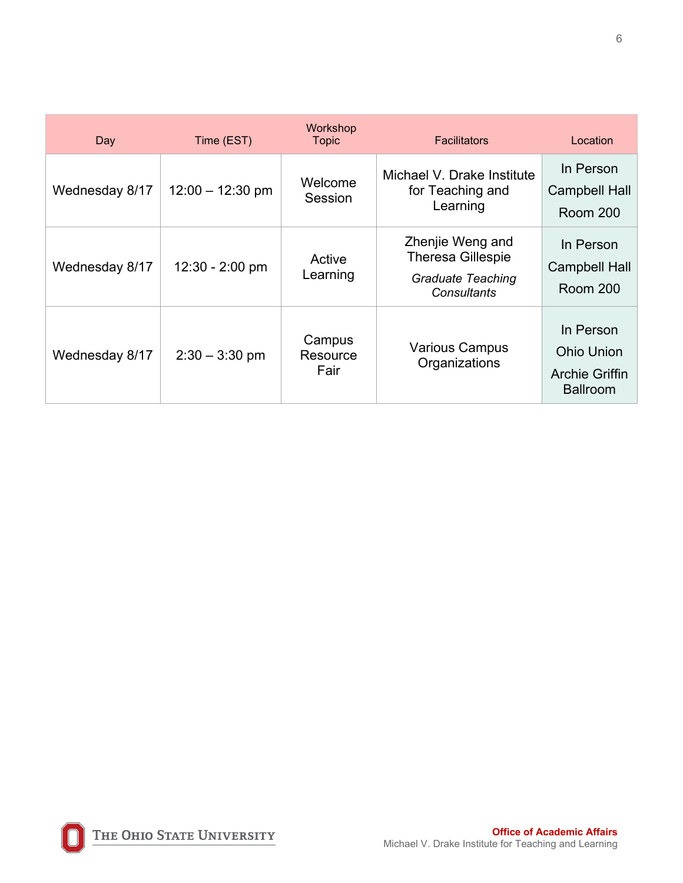| Day            | Time (EST)         | Workshop<br><b>Topic</b>   | <b>Facilitators</b>                                                                            | Location                                                                   |
|----------------|--------------------|----------------------------|------------------------------------------------------------------------------------------------|----------------------------------------------------------------------------|
| Wednesday 8/17 | $12:00 - 12:30$ pm | Welcome<br>Session         | Michael V. Drake Institute<br>for Teaching and<br>Learning                                     | In Person<br><b>Campbell Hall</b><br><b>Room 200</b>                       |
| Wednesday 8/17 | $12:30 - 2:00$ pm  | Active<br>Learning         | Zhenjie Weng and<br><b>Theresa Gillespie</b><br><b>Graduate Teaching</b><br><b>Consultants</b> | In Person<br><b>Campbell Hall</b><br><b>Room 200</b>                       |
| Wednesday 8/17 | $2:30 - 3:30$ pm   | Campus<br>Resource<br>Fair | <b>Various Campus</b><br>Organizations                                                         | In Person<br><b>Ohio Union</b><br><b>Archie Griffin</b><br><b>Ballroom</b> |

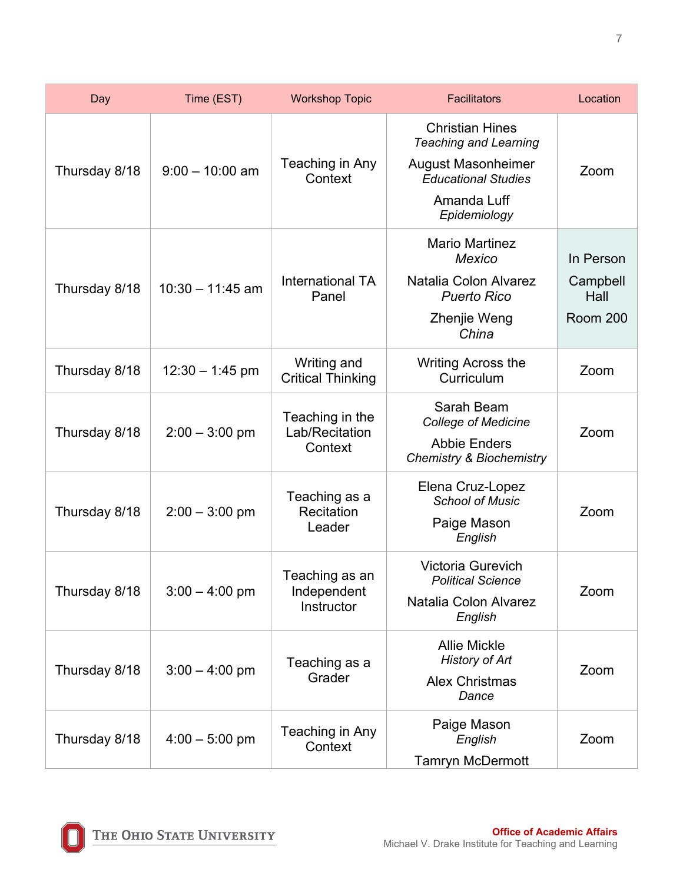| Day           | Time (EST)         | <b>Workshop Topic</b>                        | <b>Facilitators</b>                                                                                                                              | Location                                  |
|---------------|--------------------|----------------------------------------------|--------------------------------------------------------------------------------------------------------------------------------------------------|-------------------------------------------|
| Thursday 8/18 | $9:00 - 10:00$ am  | Teaching in Any<br>Context                   | <b>Christian Hines</b><br><b>Teaching and Learning</b><br><b>August Masonheimer</b><br><b>Educational Studies</b><br>Amanda Luff<br>Epidemiology | Zoom                                      |
| Thursday 8/18 | $10:30 - 11:45$ am | <b>International TA</b><br>Panel             | <b>Mario Martinez</b><br><b>Mexico</b><br>Natalia Colon Alvarez<br><b>Puerto Rico</b><br>Zhenjie Weng<br>China                                   | In Person<br>Campbell<br>Hall<br>Room 200 |
| Thursday 8/18 | $12:30 - 1:45$ pm  | Writing and<br><b>Critical Thinking</b>      | <b>Writing Across the</b><br>Curriculum                                                                                                          | Zoom                                      |
| Thursday 8/18 | $2:00 - 3:00$ pm   | Teaching in the<br>Lab/Recitation<br>Context | Sarah Beam<br><b>College of Medicine</b><br><b>Abbie Enders</b><br><b>Chemistry &amp; Biochemistry</b>                                           | Zoom                                      |
| Thursday 8/18 | $2:00 - 3:00$ pm   | Teaching as a<br>Recitation<br>Leader        | Elena Cruz-Lopez<br><b>School of Music</b><br>Paige Mason<br>English                                                                             | Zoom                                      |
| Thursday 8/18 | $3:00 - 4:00$ pm   | Teaching as an<br>Independent<br>Instructor  | <b>Victoria Gurevich</b><br><b>Political Science</b><br>Natalia Colon Alvarez<br>English                                                         | Zoom                                      |
| Thursday 8/18 | $3:00 - 4:00$ pm   | Teaching as a<br>Grader                      | <b>Allie Mickle</b><br><b>History of Art</b><br><b>Alex Christmas</b><br>Dance                                                                   | Zoom                                      |
| Thursday 8/18 | $4:00 - 5:00$ pm   | Teaching in Any<br>Context                   | Paige Mason<br>English<br><b>Tamryn McDermott</b>                                                                                                | Zoom                                      |